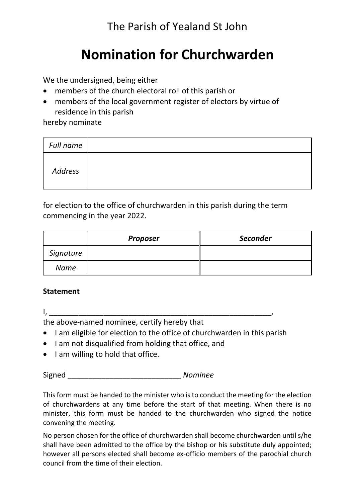The Parish of Yealand St John

# **Nomination for Churchwarden**

We the undersigned, being either

- members of the church electoral roll of this parish or
- members of the local government register of electors by virtue of residence in this parish

hereby nominate

| Full name |  |
|-----------|--|
| Address   |  |

for election to the office of churchwarden in this parish during the term commencing in the year 2022.

|           | <b>Proposer</b> | <b>Seconder</b> |
|-----------|-----------------|-----------------|
| Signature |                 |                 |
| Name      |                 |                 |

# **Statement**

 $I_{\lambda}$   $\perp$ 

the above-named nominee, certify hereby that

- I am eligible for election to the office of churchwarden in this parish
- I am not disqualified from holding that office, and
- I am willing to hold that office.

Signed \_\_\_\_\_\_\_\_\_\_\_\_\_\_\_\_\_\_\_\_\_\_\_\_\_\_\_ *Nominee*

This form must be handed to the minister who is to conduct the meeting for the election of churchwardens at any time before the start of that meeting. When there is no minister, this form must be handed to the churchwarden who signed the notice convening the meeting.

No person chosen for the office of churchwarden shall become churchwarden until s/he shall have been admitted to the office by the bishop or his substitute duly appointed; however all persons elected shall become ex-officio members of the parochial church council from the time of their election.